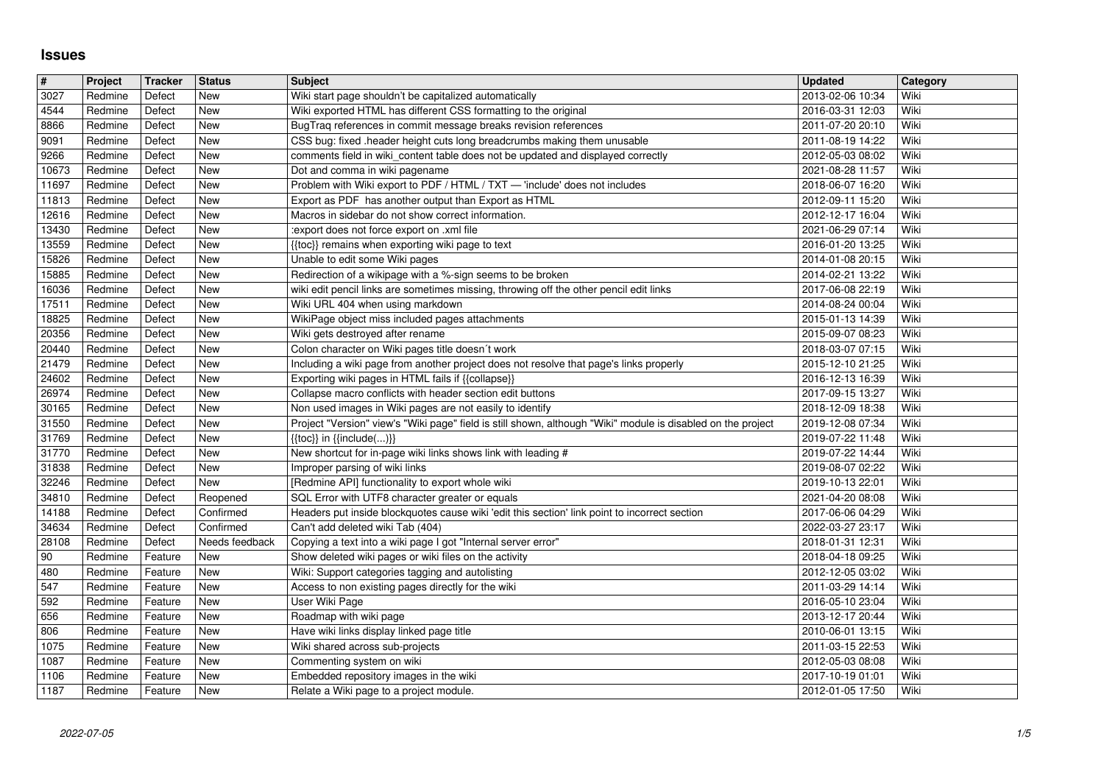## **Issues**

| $\overline{\mathbf{t}}$ | Project            | <b>Tracker</b>     | <b>Status</b>         | <b>Subject</b>                                                                                                                                                           | <b>Updated</b>                       | Category     |
|-------------------------|--------------------|--------------------|-----------------------|--------------------------------------------------------------------------------------------------------------------------------------------------------------------------|--------------------------------------|--------------|
| 3027<br>4544            | Redmine<br>Redmine | Defect<br>Defect   | New<br>New            | Wiki start page shouldn't be capitalized automatically<br>Wiki exported HTML has different CSS formatting to the original                                                | 2013-02-06 10:34<br>2016-03-31 12:03 | Wiki<br>Wiki |
| 8866                    | Redmine            | Defect             | New                   | BugTraq references in commit message breaks revision references                                                                                                          | 2011-07-20 20:10                     | Wiki         |
| 9091                    | Redmine            | Defect             | New                   | CSS bug: fixed .header height cuts long breadcrumbs making them unusable                                                                                                 | 2011-08-19 14:22                     | Wiki         |
| 9266<br>10673           | Redmine<br>Redmine | Defect<br>Defect   | New<br>New            | comments field in wiki_content table does not be updated and displayed correctly<br>Dot and comma in wiki pagename                                                       | 2012-05-03 08:02<br>2021-08-28 11:57 | Wiki<br>Wiki |
| 11697                   | Redmine            | Defect             | New                   | Problem with Wiki export to PDF / HTML / TXT - 'include' does not includes                                                                                               | 2018-06-07 16:20                     | Wiki         |
| 11813                   | Redmine            | Defect             | New                   | Export as PDF has another output than Export as HTML                                                                                                                     | 2012-09-11 15:20                     | Wiki         |
| 12616                   | Redmine            | Defect             | New<br>New            | Macros in sidebar do not show correct information.                                                                                                                       | 2012-12-17 16:04<br>2021-06-29 07:14 | Wiki<br>Wiki |
| 13430<br>13559          | Redmine<br>Redmine | Defect<br>Defect   | New                   | :export does not force export on .xml file<br>{{toc}} remains when exporting wiki page to text                                                                           | 2016-01-20 13:25                     | Wiki         |
| 15826                   | Redmine            | Defect             | New                   | Unable to edit some Wiki pages                                                                                                                                           | 2014-01-08 20:15                     | Wiki         |
| 15885                   | Redmine            | Defect             | New                   | Redirection of a wikipage with a %-sign seems to be broken                                                                                                               | 2014-02-21 13:22                     | Wiki         |
| 16036<br>17511          | Redmine<br>Redmine | Defect<br>Defect   | New<br>New            | wiki edit pencil links are sometimes missing, throwing off the other pencil edit links<br>Wiki URL 404 when using markdown                                               | 2017-06-08 22:19<br>2014-08-24 00:04 | Wiki<br>Wiki |
| 18825                   | Redmine            | Defect             | New                   | WikiPage object miss included pages attachments                                                                                                                          | 2015-01-13 14:39                     | Wiki         |
| 20356                   | Redmine            | Defect             | New                   | Wiki gets destroyed after rename                                                                                                                                         | 2015-09-07 08:23                     | Wiki         |
| 20440<br>21479          | Redmine<br>Redmine | Defect<br>Defect   | New<br>New            | Colon character on Wiki pages title doesn't work<br>Including a wiki page from another project does not resolve that page's links properly                               | 2018-03-07 07:15<br>2015-12-10 21:25 | Wiki<br>Wiki |
| 24602                   | Redmine            | Defect             | New                   | Exporting wiki pages in HTML fails if {{collapse}}                                                                                                                       | 2016-12-13 16:39                     | Wiki         |
| 26974                   | Redmine            | Defect             | New                   | Collapse macro conflicts with header section edit buttons                                                                                                                | 2017-09-15 13:27                     | Wiki         |
| 30165<br>31550          | Redmine<br>Redmine | Defect<br>Defect   | New<br>New            | Non used images in Wiki pages are not easily to identify<br>Project "Version" view's "Wiki page" field is still shown, although "Wiki" module is disabled on the project | 2018-12-09 18:38<br>2019-12-08 07:34 | Wiki<br>Wiki |
| 31769                   | Redmine            | Defect             | New                   | $\{\{\textsf{toc}\}\}\$ in $\{\{\textsf{include}()\}\}$                                                                                                                  | 2019-07-22 11:48                     | Wiki         |
| 31770                   | Redmine            | Defect             | New                   | New shortcut for in-page wiki links shows link with leading #                                                                                                            | 2019-07-22 14:44                     | Wiki         |
| 31838<br>32246          | Redmine<br>Redmine | Defect<br>Defect   | New<br>New            | Improper parsing of wiki links<br>[Redmine API] functionality to export whole wiki                                                                                       | 2019-08-07 02:22<br>2019-10-13 22:01 | Wiki<br>Wiki |
| 34810                   | Redmine            | Defect             | Reopened              | SQL Error with UTF8 character greater or equals                                                                                                                          | 2021-04-20 08:08                     | Wiki         |
| 14188                   | Redmine            | Defect             | Confirmed             | Headers put inside blockquotes cause wiki 'edit this section' link point to incorrect section                                                                            | 2017-06-06 04:29                     | Wiki         |
| 34634                   | Redmine            | Defect             | Confirmed             | Can't add deleted wiki Tab (404)                                                                                                                                         | 2022-03-27 23:17                     | Wiki         |
| 28108<br>90             | Redmine<br>Redmine | Defect<br>Feature  | Needs feedback<br>New | Copying a text into a wiki page I got "Internal server error"<br>Show deleted wiki pages or wiki files on the activity                                                   | 2018-01-31 12:31<br>2018-04-18 09:25 | Wiki<br>Wiki |
| 480                     | Redmine            | Feature            | New                   | Wiki: Support categories tagging and autolisting                                                                                                                         | 2012-12-05 03:02                     | Wiki         |
| 547                     | Redmine            | Feature            | New                   | Access to non existing pages directly for the wiki                                                                                                                       | 2011-03-29 14:14                     | Wiki         |
| 592<br>656              | Redmine<br>Redmine | Feature<br>Feature | New<br>New            | User Wiki Page<br>Roadmap with wiki page                                                                                                                                 | 2016-05-10 23:04<br>2013-12-17 20:44 | Wiki<br>Wiki |
| 806                     | Redmine            | Feature            | New                   | Have wiki links display linked page title                                                                                                                                | 2010-06-01 13:15                     | Wiki         |
| 1075                    | Redmine            | Feature            | New                   | Wiki shared across sub-projects                                                                                                                                          | 2011-03-15 22:53                     | Wiki         |
| $\sqrt{1087}$<br>1106   | Redmine<br>Redmine | Feature<br>Feature | <b>New</b><br>New     | Commenting system on wiki<br>Embedded repository images in the wiki                                                                                                      | 2012-05-03 08:08<br>2017-10-19 01:01 | Wiki<br>Wiki |
| 1187                    | Redmine            | Feature            | New                   | Relate a Wiki page to a project module.                                                                                                                                  | 2012-01-05 17:50                     | Wiki         |
|                         |                    |                    |                       |                                                                                                                                                                          |                                      |              |
|                         |                    |                    |                       |                                                                                                                                                                          |                                      |              |
|                         |                    |                    |                       |                                                                                                                                                                          |                                      |              |
|                         |                    |                    |                       |                                                                                                                                                                          |                                      |              |
|                         |                    |                    |                       |                                                                                                                                                                          |                                      |              |
|                         |                    |                    |                       |                                                                                                                                                                          |                                      |              |
|                         |                    |                    |                       |                                                                                                                                                                          |                                      |              |
|                         |                    |                    |                       |                                                                                                                                                                          |                                      |              |
|                         |                    |                    |                       |                                                                                                                                                                          |                                      |              |
|                         |                    |                    |                       |                                                                                                                                                                          |                                      |              |
|                         |                    |                    |                       |                                                                                                                                                                          |                                      |              |
|                         |                    |                    |                       |                                                                                                                                                                          |                                      |              |
|                         |                    |                    |                       |                                                                                                                                                                          |                                      |              |
|                         |                    |                    |                       |                                                                                                                                                                          |                                      |              |
|                         |                    |                    |                       |                                                                                                                                                                          |                                      |              |
|                         |                    |                    |                       |                                                                                                                                                                          |                                      |              |
|                         |                    |                    |                       |                                                                                                                                                                          |                                      |              |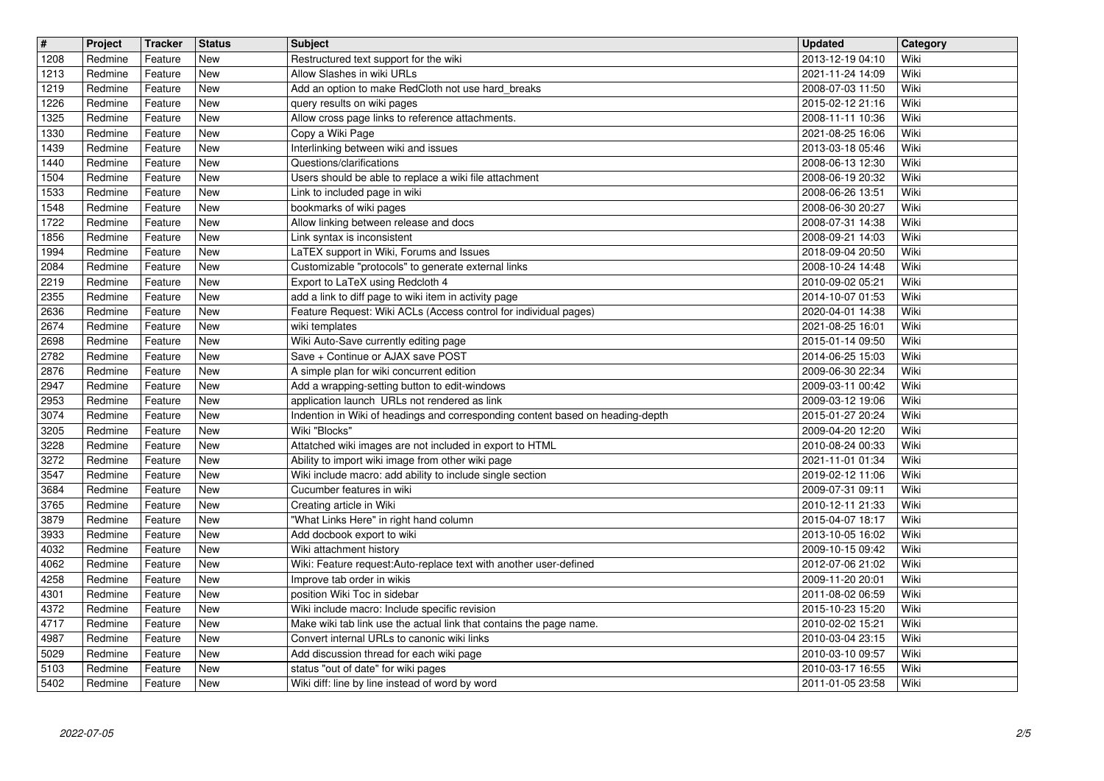| $\overline{\mathbf{t}}$ | Project            | Tracker            | <b>Status</b>            | <b>Subject</b>                                                                                                     | <b>Updated</b>                       | Category     |
|-------------------------|--------------------|--------------------|--------------------------|--------------------------------------------------------------------------------------------------------------------|--------------------------------------|--------------|
| 1208<br>1213            | Redmine<br>Redmine | Feature<br>Feature | <b>New</b><br><b>New</b> | Restructured text support for the wiki<br>Allow Slashes in wiki URLs                                               | 2013-12-19 04:10<br>2021-11-24 14:09 | Wiki<br>Wiki |
| 1219                    | Redmine            | Feature            | <b>New</b>               | Add an option to make RedCloth not use hard_breaks                                                                 | 2008-07-03 11:50                     | Wiki         |
| 1226                    | Redmine            | Feature            | <b>New</b>               | query results on wiki pages                                                                                        | 2015-02-12 21:16                     | Wiki         |
| 1325<br>1330            | Redmine<br>Redmine | Feature<br>Feature | <b>New</b><br><b>New</b> | Allow cross page links to reference attachments.<br>Copy a Wiki Page                                               | 2008-11-11 10:36<br>2021-08-25 16:06 | Wiki<br>Wiki |
| 1439                    | Redmine            | Feature            | New                      | Interlinking between wiki and issues                                                                               | 2013-03-18 05:46                     | Wiki         |
| 1440<br>1504            | Redmine<br>Redmine | Feature<br>Feature | <b>New</b><br>New        | Questions/clarifications<br>Users should be able to replace a wiki file attachment                                 | 2008-06-13 12:30                     | Wiki<br>Wiki |
| 1533                    | Redmine            | Feature            | <b>New</b>               | Link to included page in wiki                                                                                      | 2008-06-19 20:32<br>2008-06-26 13:51 | Wiki         |
| 1548                    | Redmine            | Feature            | <b>New</b>               | bookmarks of wiki pages                                                                                            | 2008-06-30 20:27                     | Wiki         |
| 1722<br>1856            | Redmine<br>Redmine | Feature<br>Feature | <b>New</b><br><b>New</b> | Allow linking between release and docs<br>Link syntax is inconsistent                                              | 2008-07-31 14:38<br>2008-09-21 14:03 | Wiki<br>Wiki |
| 1994                    | Redmine            | Feature            | New                      | LaTEX support in Wiki, Forums and Issues                                                                           | 2018-09-04 20:50                     | Wiki         |
| 2084                    | Redmine            | Feature            | <b>New</b>               | Customizable "protocols" to generate external links                                                                | 2008-10-24 14:48                     | Wiki         |
| 2219<br>2355            | Redmine<br>Redmine | Feature<br>Feature | <b>New</b><br><b>New</b> | Export to LaTeX using Redcloth 4<br>add a link to diff page to wiki item in activity page                          | 2010-09-02 05:21<br>2014-10-07 01:53 | Wiki<br>Wiki |
| 2636                    | Redmine            | Feature            | New                      | Feature Request: Wiki ACLs (Access control for individual pages)                                                   | 2020-04-01 14:38                     | Wiki         |
| 2674                    | Redmine            | Feature            | <b>New</b>               | wiki templates                                                                                                     | 2021-08-25 16:01                     | Wiki         |
| 2698<br>2782            | Redmine<br>Redmine | Feature<br>Feature | <b>New</b><br><b>New</b> | Wiki Auto-Save currently editing page<br>Save + Continue or AJAX save POST                                         | 2015-01-14 09:50<br>2014-06-25 15:03 | Wiki<br>Wiki |
| 2876                    | Redmine            | Feature            | <b>New</b>               | A simple plan for wiki concurrent edition                                                                          | 2009-06-30 22:34                     | Wiki         |
| 2947<br>2953            | Redmine<br>Redmine | Feature<br>Feature | New<br><b>New</b>        | Add a wrapping-setting button to edit-windows<br>application launch URLs not rendered as link                      | 2009-03-11 00:42<br>2009-03-12 19:06 | Wiki<br>Wiki |
| 3074                    | Redmine            | Feature            | New                      | Indention in Wiki of headings and corresponding content based on heading-depth                                     | 2015-01-27 20:24                     | Wiki         |
| 3205                    | Redmine            | Feature            | New                      | Wiki "Blocks"                                                                                                      | 2009-04-20 12:20                     | Wiki         |
| 3228<br>3272            | Redmine<br>Redmine | Feature<br>Feature | New<br><b>New</b>        | Attatched wiki images are not included in export to HTML<br>Ability to import wiki image from other wiki page      | 2010-08-24 00:33<br>2021-11-01 01:34 | Wiki<br>Wiki |
| 3547                    | Redmine            | Feature            | <b>New</b>               | Wiki include macro: add ability to include single section                                                          | 2019-02-12 11:06                     | Wiki         |
| 3684                    | Redmine            | Feature            | <b>New</b>               | Cucumber features in wiki                                                                                          | 2009-07-31 09:11                     | Wiki         |
| 3765<br>3879            | Redmine<br>Redmine | Feature<br>Feature | <b>New</b><br><b>New</b> | Creating article in Wiki<br>"What Links Here" in right hand column                                                 | 2010-12-11 21:33<br>2015-04-07 18:17 | Wiki<br>Wiki |
| 3933                    | Redmine            | Feature            | <b>New</b>               | Add docbook export to wiki                                                                                         | 2013-10-05 16:02                     | Wiki         |
| 4032                    | Redmine            | Feature            | <b>New</b>               | Wiki attachment history                                                                                            | 2009-10-15 09:42                     | Wiki         |
| 4062<br>4258            | Redmine<br>Redmine | Feature<br>Feature | New<br>New               | Wiki: Feature request:Auto-replace text with another user-defined<br>Improve tab order in wikis                    | 2012-07-06 21:02<br>2009-11-20 20:01 | Wiki<br>Wiki |
| 4301                    | Redmine            | Feature            | <b>New</b>               | position Wiki Toc in sidebar                                                                                       | 2011-08-02 06:59                     | Wiki         |
| 4372                    | Redmine            | Feature            | New                      | Wiki include macro: Include specific revision                                                                      | 2015-10-23 15:20                     | Wiki         |
| 4717<br>4987            | Redmine<br>Redmine | Feature<br>Feature | New<br>New               | Make wiki tab link use the actual link that contains the page name.<br>Convert internal URLs to canonic wiki links | 2010-02-02 15:21<br>2010-03-04 23:15 | Wiki<br>Wiki |
| 5029                    | Redmine            | Feature            | New                      | Add discussion thread for each wiki page                                                                           | 2010-03-10 09:57                     | Wiki         |
| 5103<br>5402            | Redmine<br>Redmine | Feature<br>Feature | New<br>New               | status "out of date" for wiki pages<br>Wiki diff: line by line instead of word by word                             | 2010-03-17 16:55<br>2011-01-05 23:58 | Wiki<br>Wiki |
|                         |                    |                    |                          |                                                                                                                    |                                      |              |
|                         |                    |                    |                          |                                                                                                                    |                                      |              |
|                         |                    |                    |                          |                                                                                                                    |                                      |              |
|                         |                    |                    |                          |                                                                                                                    |                                      |              |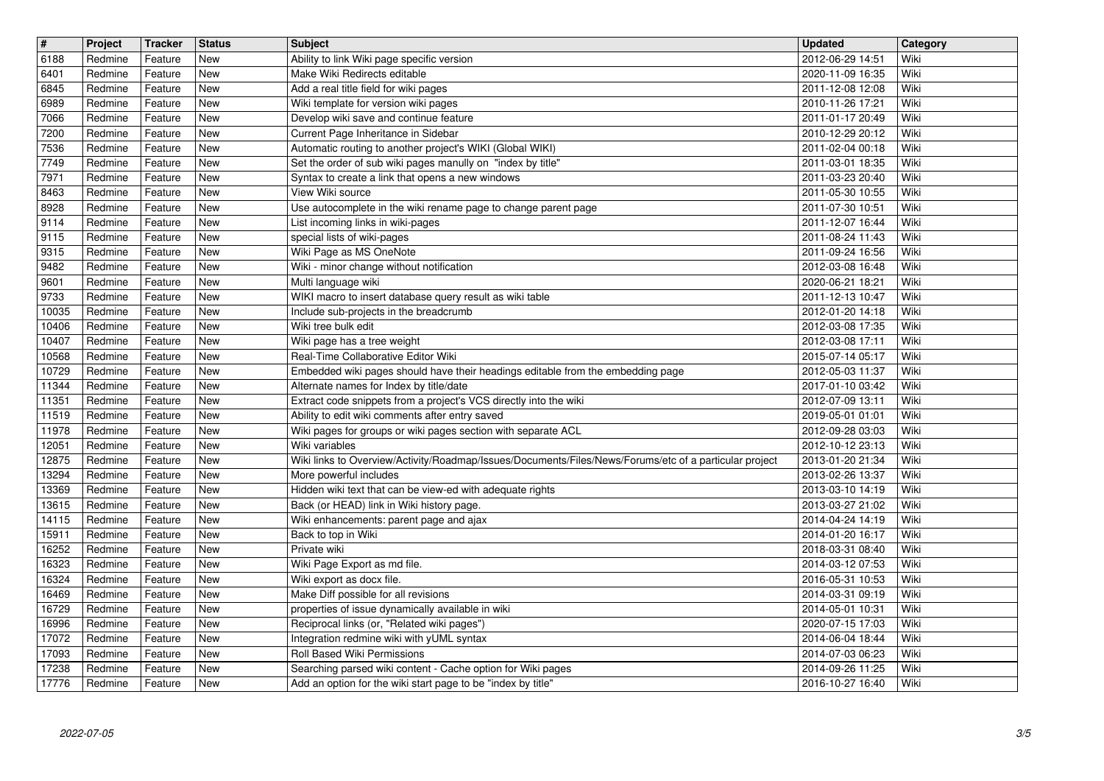| $\overline{\mathbf{H}}$<br>6188 | Project<br>Redmine | Tracker<br>Feature | <b>Status</b><br><b>New</b> | <b>Subject</b><br>Ability to link Wiki page specific version                                                 | <b>Updated</b><br>2012-06-29 14:51   | Category<br>Wiki |
|---------------------------------|--------------------|--------------------|-----------------------------|--------------------------------------------------------------------------------------------------------------|--------------------------------------|------------------|
| 6401                            | Redmine            | Feature            | <b>New</b>                  | Make Wiki Redirects editable                                                                                 | 2020-11-09 16:35                     | Wiki             |
| 6845<br>6989                    | Redmine<br>Redmine | Feature<br>Feature | <b>New</b><br><b>New</b>    | Add a real title field for wiki pages<br>Wiki template for version wiki pages                                | 2011-12-08 12:08<br>2010-11-26 17:21 | Wiki<br>Wiki     |
| 7066                            | Redmine            | Feature            | <b>New</b>                  | Develop wiki save and continue feature                                                                       | 2011-01-17 20:49                     | Wiki             |
| 7200<br>7536                    | Redmine<br>Redmine | Feature<br>Feature | <b>New</b><br>New           | Current Page Inheritance in Sidebar<br>Automatic routing to another project's WIKI (Global WIKI)             | 2010-12-29 20:12<br>2011-02-04 00:18 | Wiki<br>Wiki     |
| 7749                            | Redmine            | Feature            | New                         | Set the order of sub wiki pages manully on "index by title"                                                  | 2011-03-01 18:35                     | Wiki             |
| 7971<br>8463                    | Redmine<br>Redmine | Feature<br>Feature | New<br>New                  | Syntax to create a link that opens a new windows<br>View Wiki source                                         | 2011-03-23 20:40<br>2011-05-30 10:55 | Wiki<br>Wiki     |
| 8928                            | Redmine            | Feature            | <b>New</b>                  | Use autocomplete in the wiki rename page to change parent page                                               | 2011-07-30 10:51                     | Wiki             |
| 9114<br>9115                    | Redmine<br>Redmine | Feature<br>Feature | <b>New</b><br><b>New</b>    | List incoming links in wiki-pages<br>special lists of wiki-pages                                             | 2011-12-07 16:44<br>2011-08-24 11:43 | Wiki<br>Wiki     |
| 9315<br>9482                    | Redmine<br>Redmine | Feature<br>Feature | <b>New</b><br><b>New</b>    | Wiki Page as MS OneNote<br>Wiki - minor change without notification                                          | 2011-09-24 16:56<br>2012-03-08 16:48 | Wiki<br>Wiki     |
| 9601                            | Redmine            | Feature            | New                         | Multi language wiki                                                                                          | 2020-06-21 18:21                     | Wiki             |
| 9733<br>10035                   | Redmine<br>Redmine | Feature<br>Feature | New<br>New                  | WIKI macro to insert database query result as wiki table<br>Include sub-projects in the breadcrumb           | 2011-12-13 10:47<br>2012-01-20 14:18 | Wiki<br>Wiki     |
| 10406                           | Redmine            | Feature            | New                         | Wiki tree bulk edit                                                                                          | 2012-03-08 17:35                     | Wiki             |
| 10407<br>10568                  | Redmine<br>Redmine | Feature<br>Feature | <b>New</b><br>New           | Wiki page has a tree weight<br>Real-Time Collaborative Editor Wiki                                           | 2012-03-08 17:11<br>2015-07-14 05:17 | Wiki<br>Wiki     |
| 10729                           | Redmine            | Feature            | <b>New</b>                  | Embedded wiki pages should have their headings editable from the embedding page                              | 2012-05-03 11:37                     | Wiki             |
| 11344<br>11351                  | Redmine<br>Redmine | Feature<br>Feature | <b>New</b><br><b>New</b>    | Alternate names for Index by title/date<br>Extract code snippets from a project's VCS directly into the wiki | 2017-01-10 03:42<br>2012-07-09 13:11 | Wiki<br>Wiki     |
| 11519                           | Redmine            | Feature            | New                         | Ability to edit wiki comments after entry saved                                                              | 2019-05-01 01:01                     | Wiki             |
| 11978<br>12051                  | Redmine<br>Redmine | Feature<br>Feature | New<br>New                  | Wiki pages for groups or wiki pages section with separate ACL<br>Wiki variables                              | 2012-09-28 03:03<br>2012-10-12 23:13 | Wiki<br>Wiki     |
| 12875                           | Redmine            | Feature            | New<br><b>New</b>           | Wiki links to Overview/Activity/Roadmap/Issues/Documents/Files/News/Forums/etc of a particular project       | 2013-01-20 21:34                     | Wiki<br>Wiki     |
| 13294<br>13369                  | Redmine<br>Redmine | Feature<br>Feature | <b>New</b>                  | More powerful includes<br>Hidden wiki text that can be view-ed with adequate rights                          | 2013-02-26 13:37<br>2013-03-10 14:19 | Wiki             |
| 13615<br>14115                  | Redmine<br>Redmine | Feature<br>Feature | New<br>New                  | Back (or HEAD) link in Wiki history page.<br>Wiki enhancements: parent page and ajax                         | 2013-03-27 21:02<br>2014-04-24 14:19 | Wiki<br>Wiki     |
| 15911                           | Redmine            | Feature            | <b>New</b>                  | Back to top in Wiki                                                                                          | 2014-01-20 16:17                     | Wiki             |
| 16252<br>16323                  | Redmine<br>Redmine | Feature<br>Feature | New<br>New                  | Private wiki<br>Wiki Page Export as md file.                                                                 | 2018-03-31 08:40<br>2014-03-12 07:53 | Wiki<br>Wiki     |
| 16324                           | Redmine            | Feature            | New                         | Wiki export as docx file.                                                                                    | 2016-05-31 10:53                     | Wiki             |
| 16469<br>16729                  | Redmine<br>Redmine | Feature<br>Feature | New<br>New                  | Make Diff possible for all revisions<br>properties of issue dynamically available in wiki                    | 2014-03-31 09:19<br>2014-05-01 10:31 | Wiki<br>Wiki     |
| 16996                           | Redmine            | Feature            | <b>New</b>                  | Reciprocal links (or, "Related wiki pages")                                                                  | 2020-07-15 17:03                     | Wiki             |
| 17072<br>17093                  | Redmine<br>Redmine | Feature<br>Feature | New<br>New                  | Integration redmine wiki with yUML syntax<br>Roll Based Wiki Permissions                                     | 2014-06-04 18:44<br>2014-07-03 06:23 | Wiki<br>Wiki     |
| 17238                           | Redmine            | Feature            | New                         | Searching parsed wiki content - Cache option for Wiki pages                                                  | 2014-09-26 11:25                     | Wiki             |
| 17776                           | Redmine            | Feature            | New                         | Add an option for the wiki start page to be "index by title"                                                 | 2016-10-27 16:40                     | Wiki             |
|                                 |                    |                    |                             |                                                                                                              |                                      |                  |
|                                 |                    |                    |                             |                                                                                                              |                                      |                  |
|                                 |                    |                    |                             |                                                                                                              |                                      |                  |
|                                 |                    |                    |                             |                                                                                                              |                                      |                  |
|                                 |                    |                    |                             |                                                                                                              |                                      |                  |
|                                 |                    |                    |                             |                                                                                                              |                                      |                  |
|                                 |                    |                    |                             |                                                                                                              |                                      |                  |
|                                 |                    |                    |                             |                                                                                                              |                                      |                  |
|                                 |                    |                    |                             |                                                                                                              |                                      |                  |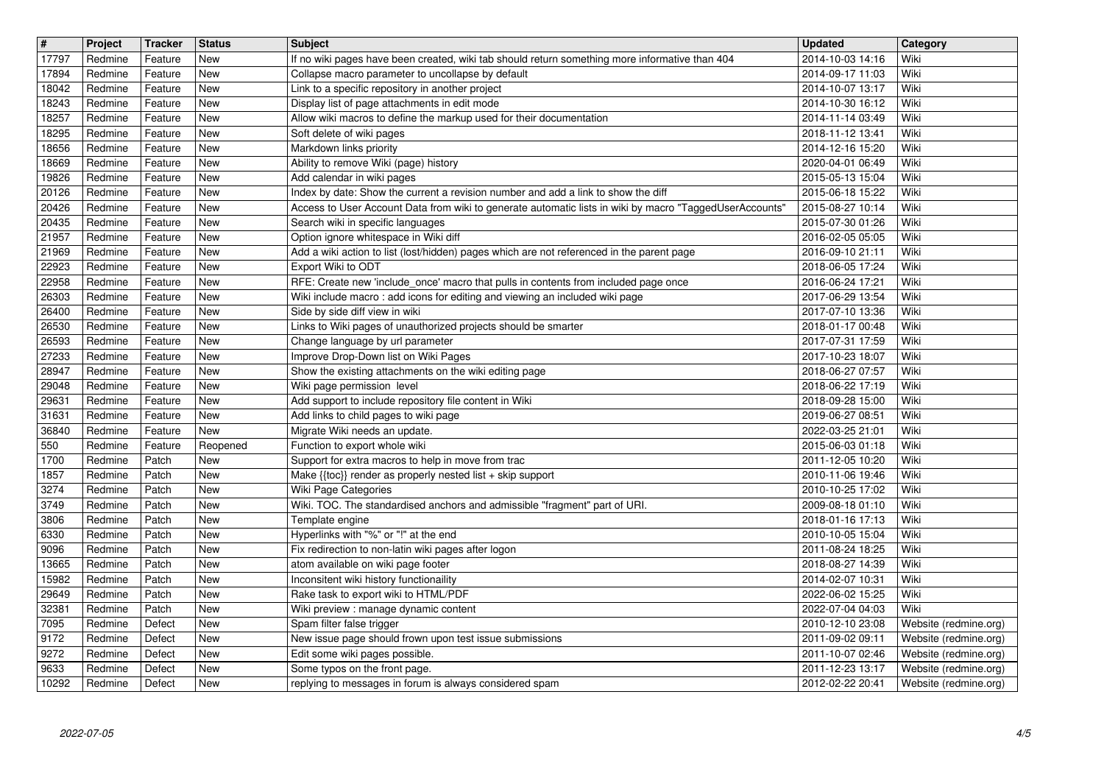| $\overline{\mathbf{H}}$<br>17797 | Project<br>Redmine | Tracker<br>Feature | <b>Status</b><br>New     | <b>Subject</b>                                                                                                                                                                               | <b>Updated</b><br>2014-10-03 14:16   | Category<br>Wiki                               |
|----------------------------------|--------------------|--------------------|--------------------------|----------------------------------------------------------------------------------------------------------------------------------------------------------------------------------------------|--------------------------------------|------------------------------------------------|
| 17894                            | Redmine            | Feature            | <b>New</b>               | If no wiki pages have been created, wiki tab should return something more informative than 404<br>Collapse macro parameter to uncollapse by default                                          | 2014-09-17 11:03                     | Wiki                                           |
| 18042                            | Redmine            | Feature            | New                      | Link to a specific repository in another project                                                                                                                                             | 2014-10-07 13:17                     | Wiki                                           |
| 18243<br>18257                   | Redmine<br>Redmine | Feature<br>Feature | New<br>New               | Display list of page attachments in edit mode<br>Allow wiki macros to define the markup used for their documentation                                                                         | 2014-10-30 16:12<br>2014-11-14 03:49 | Wiki<br>Wiki                                   |
| 18295                            | Redmine            | Feature            | New                      | Soft delete of wiki pages                                                                                                                                                                    | 2018-11-12 13:41                     | Wiki                                           |
| 18656<br>18669                   | Redmine<br>Redmine | Feature<br>Feature | New<br>New               | Markdown links priority<br>Ability to remove Wiki (page) history                                                                                                                             | 2014-12-16 15:20<br>2020-04-01 06:49 | Wiki<br>Wiki                                   |
| 19826                            | Redmine            | Feature            | <b>New</b>               | Add calendar in wiki pages                                                                                                                                                                   | 2015-05-13 15:04                     | Wiki                                           |
| 20126<br>20426                   | Redmine<br>Redmine | Feature<br>Feature | New<br>New               | Index by date: Show the current a revision number and add a link to show the diff<br>Access to User Account Data from wiki to generate automatic lists in wiki by macro "TaggedUserAccounts' | 2015-06-18 15:22<br>2015-08-27 10:14 | Wiki<br>Wiki                                   |
| 20435                            | Redmine            | Feature            | New                      | Search wiki in specific languages                                                                                                                                                            | 2015-07-30 01:26                     | Wiki                                           |
| 21957<br>21969                   | Redmine<br>Redmine | Feature<br>Feature | New<br>New               | Option ignore whitespace in Wiki diff<br>Add a wiki action to list (lost/hidden) pages which are not referenced in the parent page                                                           | 2016-02-05 05:05<br>2016-09-10 21:11 | Wiki<br>Wiki                                   |
| 22923                            | Redmine            | Feature            | New                      | Export Wiki to ODT                                                                                                                                                                           | 2018-06-05 17:24                     | Wiki                                           |
| 22958<br>26303                   | Redmine<br>Redmine | Feature<br>Feature | New<br>New               | RFE: Create new 'include_once' macro that pulls in contents from included page once<br>Wiki include macro: add icons for editing and viewing an included wiki page                           | 2016-06-24 17:21<br>2017-06-29 13:54 | Wiki<br>Wiki                                   |
| 26400                            | Redmine            | Feature            | New                      | Side by side diff view in wiki                                                                                                                                                               | 2017-07-10 13:36                     | Wiki                                           |
| 26530<br>26593                   | Redmine<br>Redmine | Feature<br>Feature | New<br>New               | Links to Wiki pages of unauthorized projects should be smarter<br>Change language by url parameter                                                                                           | 2018-01-17 00:48<br>2017-07-31 17:59 | Wiki<br>Wiki                                   |
| 27233                            | Redmine            | Feature            | New                      | Improve Drop-Down list on Wiki Pages                                                                                                                                                         | 2017-10-23 18:07                     | Wiki                                           |
| 28947<br>29048                   | Redmine<br>Redmine | Feature<br>Feature | New<br>New               | Show the existing attachments on the wiki editing page<br>Wiki page permission level                                                                                                         | 2018-06-27 07:57<br>2018-06-22 17:19 | Wiki<br>Wiki                                   |
| 29631                            | Redmine            | Feature            | New                      | Add support to include repository file content in Wiki                                                                                                                                       | 2018-09-28 15:00                     | Wiki                                           |
| 31631                            | Redmine            | Feature            | New                      | Add links to child pages to wiki page                                                                                                                                                        | 2019-06-27 08:51                     | Wiki                                           |
| 36840<br>550                     | Redmine<br>Redmine | Feature<br>Feature | New<br>Reopened          | Migrate Wiki needs an update.<br>Function to export whole wiki                                                                                                                               | 2022-03-25 21:01<br>2015-06-03 01:18 | Wiki<br>Wiki                                   |
| 1700                             | Redmine            | Patch              | New                      | Support for extra macros to help in move from trac                                                                                                                                           | 2011-12-05 10:20                     | Wiki                                           |
| 1857<br>3274                     | Redmine<br>Redmine | Patch<br>Patch     | <b>New</b><br><b>New</b> | Make {{toc}} render as properly nested list + skip support<br>Wiki Page Categories                                                                                                           | 2010-11-06 19:46<br>2010-10-25 17:02 | Wiki<br>Wiki                                   |
| 3749                             | Redmine            | Patch              | <b>New</b>               | Wiki. TOC. The standardised anchors and admissible "fragment" part of URI.                                                                                                                   | 2009-08-18 01:10                     | Wiki                                           |
| 3806<br>6330                     | Redmine<br>Redmine | Patch<br>Patch     | New<br><b>New</b>        | Template engine<br>Hyperlinks with "%" or "!" at the end                                                                                                                                     | 2018-01-16 17:13<br>2010-10-05 15:04 | Wiki<br>Wiki                                   |
| 9096                             | Redmine            | Patch              | <b>New</b>               | Fix redirection to non-latin wiki pages after logon                                                                                                                                          | 2011-08-24 18:25                     | Wiki                                           |
| 13665<br>15982                   | Redmine<br>Redmine | Patch<br>Patch     | <b>New</b><br><b>New</b> | atom available on wiki page footer<br>Inconsitent wiki history functionaility                                                                                                                | 2018-08-27 14:39<br>2014-02-07 10:31 | Wiki<br>Wiki                                   |
| 29649                            | Redmine            | Patch              | New                      | Rake task to export wiki to HTML/PDF                                                                                                                                                         | 2022-06-02 15:25                     | Wiki                                           |
| 32381<br>7095                    | Redmine<br>Redmine | Patch<br>Defect    | New<br>New               | Wiki preview : manage dynamic content<br>Spam filter false trigger                                                                                                                           | 2022-07-04 04:03<br>2010-12-10 23:08 | Wiki<br>Website (redmine.org)                  |
| 9172                             | Redmine            | Defect             | New                      | New issue page should frown upon test issue submissions                                                                                                                                      | 2011-09-02 09:11                     | Website (redmine.org)                          |
| 9272<br>9633                     | Redmine<br>Redmine | Defect<br>Defect   | New<br>New               | Edit some wiki pages possible.<br>Some typos on the front page.                                                                                                                              | 2011-10-07 02:46<br>2011-12-23 13:17 | Website (redmine.org)<br>Website (redmine.org) |
| 10292                            | Redmine            | Defect             | New                      | replying to messages in forum is always considered spam                                                                                                                                      | 2012-02-22 20:41                     | Website (redmine.org)                          |
|                                  |                    |                    |                          |                                                                                                                                                                                              |                                      |                                                |
|                                  |                    |                    |                          |                                                                                                                                                                                              |                                      |                                                |
|                                  |                    |                    |                          |                                                                                                                                                                                              |                                      |                                                |
|                                  |                    |                    |                          |                                                                                                                                                                                              |                                      |                                                |
|                                  |                    |                    |                          |                                                                                                                                                                                              |                                      |                                                |
|                                  |                    |                    |                          |                                                                                                                                                                                              |                                      |                                                |